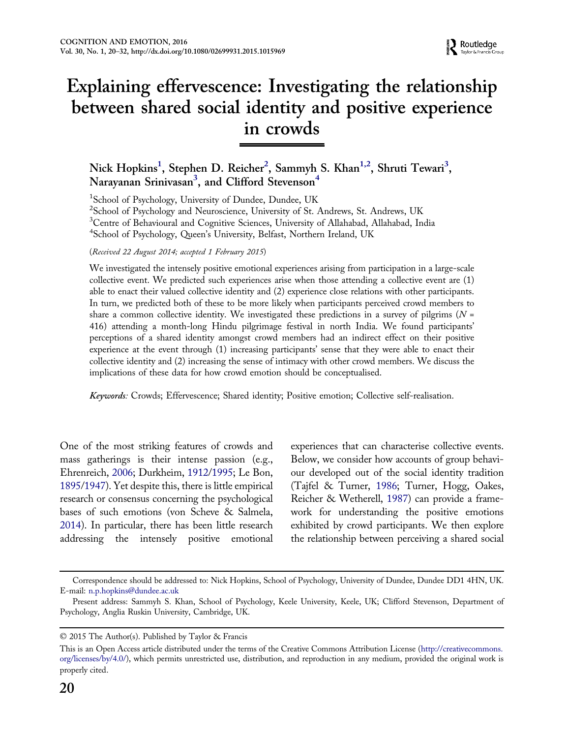# Explaining effervescence: Investigating the relationship between shared social identity and positive experience in crowds

Nick Hopkins<sup>1</sup>, Stephen D. Reicher<sup>2</sup>, Sammyh S. Khan<sup>1,2</sup>, Shruti Tewari<sup>3</sup>, Narayanan Srinivasan<sup>3</sup>, and Clifford Stevenson<sup>4</sup>

<sup>1</sup>School of Psychology, University of Dundee, Dundee, UK

<sup>2</sup>School of Psychology and Neuroscience, University of St. Andrews, St. Andrews, UK

<sup>3</sup>Centre of Behavioural and Cognitive Sciences, University of Allahabad, Allahabad, India

4 School of Psychology, Queen's University, Belfast, Northern Ireland, UK

(Received 22 August 2014; accepted 1 February 2015)

We investigated the intensely positive emotional experiences arising from participation in a large-scale collective event. We predicted such experiences arise when those attending a collective event are (1) able to enact their valued collective identity and (2) experience close relations with other participants. In turn, we predicted both of these to be more likely when participants perceived crowd members to share a common collective identity. We investigated these predictions in a survey of pilgrims  $(N =$ 416) attending a month-long Hindu pilgrimage festival in north India. We found participants' perceptions of a shared identity amongst crowd members had an indirect effect on their positive experience at the event through (1) increasing participants' sense that they were able to enact their collective identity and (2) increasing the sense of intimacy with other crowd members. We discuss the implications of these data for how crowd emotion should be conceptualised.

Keywords: Crowds; Effervescence; Shared identity; Positive emotion; Collective self-realisation.

One of the most striking features of crowds and mass gatherings is their intense passion (e.g., Ehrenreich, 2006; Durkheim, 1912/1995; Le Bon, 1895/1947). Yet despite this, there is little empirical research or consensus concerning the psychological bases of such emotions (von Scheve & Salmela, 2014). In particular, there has been little research addressing the intensely positive emotional experiences that can characterise collective events. Below, we consider how accounts of group behaviour developed out of the social identity tradition (Tajfel & Turner, 1986; Turner, Hogg, Oakes, Reicher & Wetherell, 1987) can provide a framework for understanding the positive emotions exhibited by crowd participants. We then explore the relationship between perceiving a shared social

Correspondence should be addressed to: Nick Hopkins, School of Psychology, University of Dundee, Dundee DD1 4HN, UK. E-mail: n.p.hopkins@dundee.ac.uk

Present address: Sammyh S. Khan, School of Psychology, Keele University, Keele, UK; Clifford Stevenson, Department of Psychology, Anglia Ruskin University, Cambridge, UK.

<sup>© 2015</sup> The Author(s). Published by Taylor & Francis

This is an Open Access article distributed under the terms of the Creative Commons Attribution License (http://creativecommons. org/licenses/by/4.0/), which permits unrestricted use, distribution, and reproduction in any medium, provided the original work is properly cited.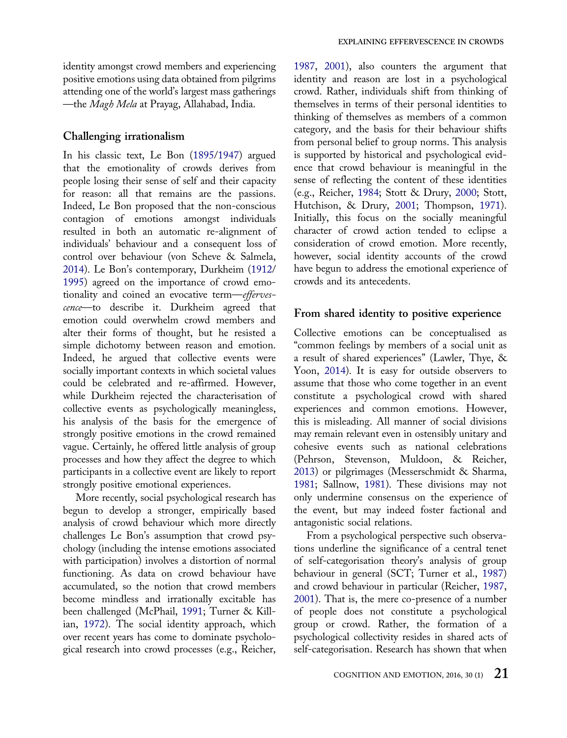identity amongst crowd members and experiencing positive emotions using data obtained from pilgrims attending one of the world's largest mass gatherings —the Magh Mela at Prayag, Allahabad, India.

### Challenging irrationalism

In his classic text, Le Bon (1895/1947) argued that the emotionality of crowds derives from people losing their sense of self and their capacity for reason: all that remains are the passions. Indeed, Le Bon proposed that the non-conscious contagion of emotions amongst individuals resulted in both an automatic re-alignment of individuals' behaviour and a consequent loss of control over behaviour (von Scheve & Salmela, 2014). Le Bon's contemporary, Durkheim (1912/ 1995) agreed on the importance of crowd emotionality and coined an evocative term—effervescence—to describe it. Durkheim agreed that emotion could overwhelm crowd members and alter their forms of thought, but he resisted a simple dichotomy between reason and emotion. Indeed, he argued that collective events were socially important contexts in which societal values could be celebrated and re-affirmed. However, while Durkheim rejected the characterisation of collective events as psychologically meaningless, his analysis of the basis for the emergence of strongly positive emotions in the crowd remained vague. Certainly, he offered little analysis of group processes and how they affect the degree to which participants in a collective event are likely to report strongly positive emotional experiences.

More recently, social psychological research has begun to develop a stronger, empirically based analysis of crowd behaviour which more directly challenges Le Bon's assumption that crowd psychology (including the intense emotions associated with participation) involves a distortion of normal functioning. As data on crowd behaviour have accumulated, so the notion that crowd members become mindless and irrationally excitable has been challenged (McPhail, 1991; Turner & Killian, 1972). The social identity approach, which over recent years has come to dominate psychological research into crowd processes (e.g., Reicher,

1987, 2001), also counters the argument that identity and reason are lost in a psychological crowd. Rather, individuals shift from thinking of themselves in terms of their personal identities to thinking of themselves as members of a common category, and the basis for their behaviour shifts from personal belief to group norms. This analysis is supported by historical and psychological evidence that crowd behaviour is meaningful in the sense of reflecting the content of these identities (e.g., Reicher, 1984; Stott & Drury, 2000; Stott, Hutchison, & Drury, 2001; Thompson, 1971). Initially, this focus on the socially meaningful character of crowd action tended to eclipse a consideration of crowd emotion. More recently, however, social identity accounts of the crowd have begun to address the emotional experience of crowds and its antecedents.

#### From shared identity to positive experience

Collective emotions can be conceptualised as "common feelings by members of a social unit as a result of shared experiences" (Lawler, Thye, & Yoon, 2014). It is easy for outside observers to assume that those who come together in an event constitute a psychological crowd with shared experiences and common emotions. However, this is misleading. All manner of social divisions may remain relevant even in ostensibly unitary and cohesive events such as national celebrations (Pehrson, Stevenson, Muldoon, & Reicher, 2013) or pilgrimages (Messerschmidt & Sharma, 1981; Sallnow, 1981). These divisions may not only undermine consensus on the experience of the event, but may indeed foster factional and antagonistic social relations.

From a psychological perspective such observations underline the significance of a central tenet of self-categorisation theory's analysis of group behaviour in general (SCT; Turner et al., 1987) and crowd behaviour in particular (Reicher, 1987, 2001). That is, the mere co-presence of a number of people does not constitute a psychological group or crowd. Rather, the formation of a psychological collectivity resides in shared acts of self-categorisation. Research has shown that when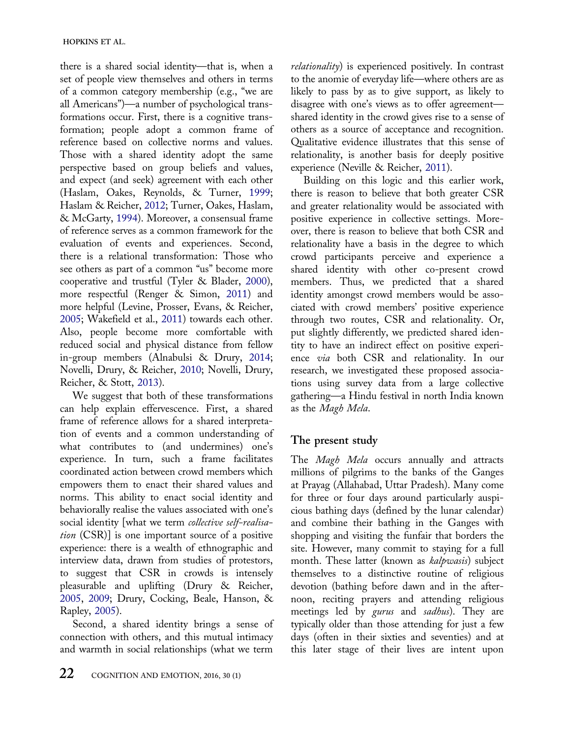there is a shared social identity—that is, when a set of people view themselves and others in terms of a common category membership (e.g., "we are all Americans")—a number of psychological transformations occur. First, there is a cognitive transformation; people adopt a common frame of reference based on collective norms and values. Those with a shared identity adopt the same perspective based on group beliefs and values, and expect (and seek) agreement with each other (Haslam, Oakes, Reynolds, & Turner, 1999; Haslam & Reicher, 2012; Turner, Oakes, Haslam, & McGarty, 1994). Moreover, a consensual frame of reference serves as a common framework for the evaluation of events and experiences. Second, there is a relational transformation: Those who see others as part of a common "us" become more cooperative and trustful (Tyler & Blader, 2000), more respectful (Renger & Simon, 2011) and more helpful (Levine, Prosser, Evans, & Reicher, 2005; Wakefield et al., 2011) towards each other. Also, people become more comfortable with reduced social and physical distance from fellow in-group members (Alnabulsi & Drury, 2014; Novelli, Drury, & Reicher, 2010; Novelli, Drury, Reicher, & Stott, 2013).

We suggest that both of these transformations can help explain effervescence. First, a shared frame of reference allows for a shared interpretation of events and a common understanding of what contributes to (and undermines) one's experience. In turn, such a frame facilitates coordinated action between crowd members which empowers them to enact their shared values and norms. This ability to enact social identity and behaviorally realise the values associated with one's social identity [what we term collective self-realisa*tion* (CSR)] is one important source of a positive experience: there is a wealth of ethnographic and interview data, drawn from studies of protestors, to suggest that CSR in crowds is intensely pleasurable and uplifting (Drury & Reicher, 2005, 2009; Drury, Cocking, Beale, Hanson, & Rapley, 2005).

Second, a shared identity brings a sense of connection with others, and this mutual intimacy and warmth in social relationships (what we term

relationality) is experienced positively. In contrast to the anomie of everyday life—where others are as likely to pass by as to give support, as likely to disagree with one's views as to offer agreement shared identity in the crowd gives rise to a sense of others as a source of acceptance and recognition. Qualitative evidence illustrates that this sense of relationality, is another basis for deeply positive experience (Neville & Reicher, 2011).

Building on this logic and this earlier work, there is reason to believe that both greater CSR and greater relationality would be associated with positive experience in collective settings. Moreover, there is reason to believe that both CSR and relationality have a basis in the degree to which crowd participants perceive and experience a shared identity with other co-present crowd members. Thus, we predicted that a shared identity amongst crowd members would be associated with crowd members' positive experience through two routes, CSR and relationality. Or, put slightly differently, we predicted shared identity to have an indirect effect on positive experience via both CSR and relationality. In our research, we investigated these proposed associations using survey data from a large collective gathering—a Hindu festival in north India known as the Magh Mela.

# The present study

The *Magh Mela* occurs annually and attracts millions of pilgrims to the banks of the Ganges at Prayag (Allahabad, Uttar Pradesh). Many come for three or four days around particularly auspicious bathing days (defined by the lunar calendar) and combine their bathing in the Ganges with shopping and visiting the funfair that borders the site. However, many commit to staying for a full month. These latter (known as kalpwasis) subject themselves to a distinctive routine of religious devotion (bathing before dawn and in the afternoon, reciting prayers and attending religious meetings led by gurus and sadhus). They are typically older than those attending for just a few days (often in their sixties and seventies) and at this later stage of their lives are intent upon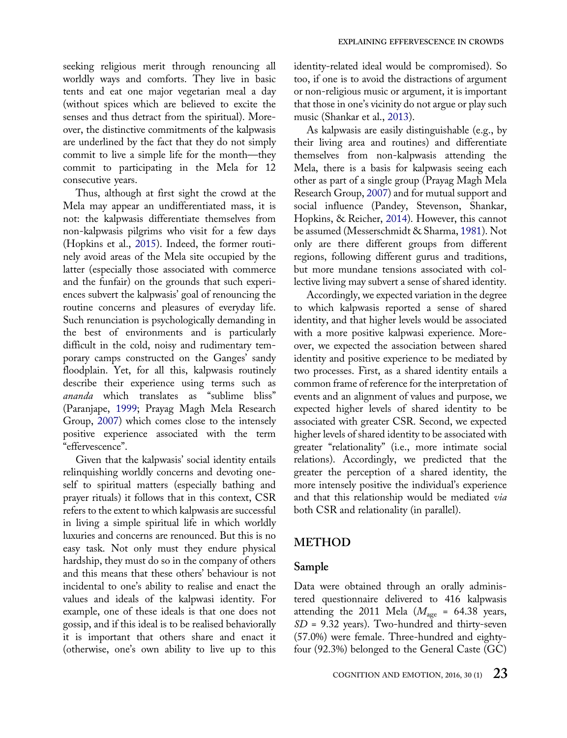seeking religious merit through renouncing all worldly ways and comforts. They live in basic tents and eat one major vegetarian meal a day (without spices which are believed to excite the senses and thus detract from the spiritual). Moreover, the distinctive commitments of the kalpwasis are underlined by the fact that they do not simply commit to live a simple life for the month—they commit to participating in the Mela for 12 consecutive years.

Thus, although at first sight the crowd at the Mela may appear an undifferentiated mass, it is not: the kalpwasis differentiate themselves from non-kalpwasis pilgrims who visit for a few days (Hopkins et al., 2015). Indeed, the former routinely avoid areas of the Mela site occupied by the latter (especially those associated with commerce and the funfair) on the grounds that such experiences subvert the kalpwasis' goal of renouncing the routine concerns and pleasures of everyday life. Such renunciation is psychologically demanding in the best of environments and is particularly difficult in the cold, noisy and rudimentary temporary camps constructed on the Ganges' sandy floodplain. Yet, for all this, kalpwasis routinely describe their experience using terms such as ananda which translates as "sublime bliss" (Paranjape, 1999; Prayag Magh Mela Research Group, 2007) which comes close to the intensely positive experience associated with the term "effervescence".

Given that the kalpwasis' social identity entails relinquishing worldly concerns and devoting oneself to spiritual matters (especially bathing and prayer rituals) it follows that in this context, CSR refers to the extent to which kalpwasis are successful in living a simple spiritual life in which worldly luxuries and concerns are renounced. But this is no easy task. Not only must they endure physical hardship, they must do so in the company of others and this means that these others' behaviour is not incidental to one's ability to realise and enact the values and ideals of the kalpwasi identity. For example, one of these ideals is that one does not gossip, and if this ideal is to be realised behaviorally it is important that others share and enact it (otherwise, one's own ability to live up to this

identity-related ideal would be compromised). So too, if one is to avoid the distractions of argument or non-religious music or argument, it is important that those in one's vicinity do not argue or play such music (Shankar et al., 2013).

As kalpwasis are easily distinguishable (e.g., by their living area and routines) and differentiate themselves from non-kalpwasis attending the Mela, there is a basis for kalpwasis seeing each other as part of a single group (Prayag Magh Mela Research Group, 2007) and for mutual support and social influence (Pandey, Stevenson, Shankar, Hopkins, & Reicher, 2014). However, this cannot be assumed (Messerschmidt & Sharma, 1981). Not only are there different groups from different regions, following different gurus and traditions, but more mundane tensions associated with collective living may subvert a sense of shared identity.

Accordingly, we expected variation in the degree to which kalpwasis reported a sense of shared identity, and that higher levels would be associated with a more positive kalpwasi experience. Moreover, we expected the association between shared identity and positive experience to be mediated by two processes. First, as a shared identity entails a common frame of reference for the interpretation of events and an alignment of values and purpose, we expected higher levels of shared identity to be associated with greater CSR. Second, we expected higher levels of shared identity to be associated with greater "relationality" (i.e., more intimate social relations). Accordingly, we predicted that the greater the perception of a shared identity, the more intensely positive the individual's experience and that this relationship would be mediated via both CSR and relationality (in parallel).

# METHOD

## Sample

Data were obtained through an orally administered questionnaire delivered to 416 kalpwasis attending the 2011 Mela ( $M_{\text{age}}$  = 64.38 years,  $SD = 9.32$  years). Two-hundred and thirty-seven (57.0%) were female. Three-hundred and eightyfour (92.3%) belonged to the General Caste (GC)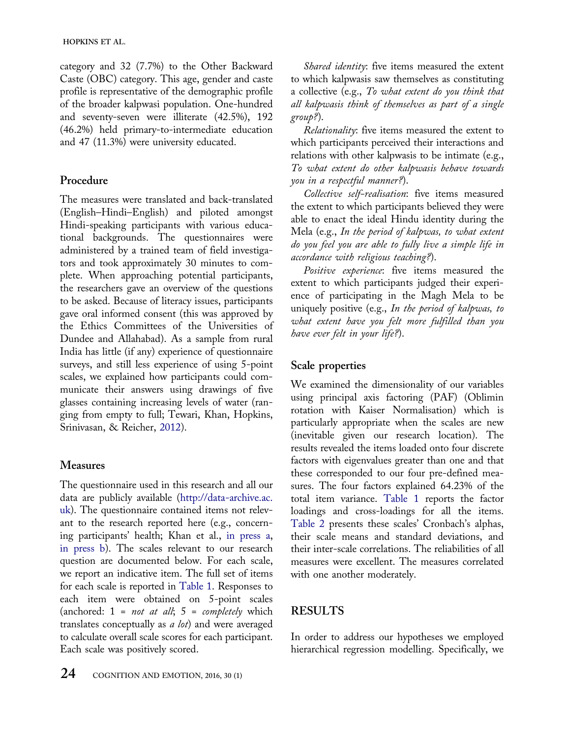category and 32 (7.7%) to the Other Backward Caste (OBC) category. This age, gender and caste profile is representative of the demographic profile of the broader kalpwasi population. One-hundred and seventy-seven were illiterate (42.5%), 192 (46.2%) held primary-to-intermediate education and 47 (11.3%) were university educated.

# Procedure

The measures were translated and back-translated (English–Hindi–English) and piloted amongst Hindi-speaking participants with various educational backgrounds. The questionnaires were administered by a trained team of field investigators and took approximately 30 minutes to complete. When approaching potential participants, the researchers gave an overview of the questions to be asked. Because of literacy issues, participants gave oral informed consent (this was approved by the Ethics Committees of the Universities of Dundee and Allahabad). As a sample from rural India has little (if any) experience of questionnaire surveys, and still less experience of using 5-point scales, we explained how participants could communicate their answers using drawings of five glasses containing increasing levels of water (ranging from empty to full; Tewari, Khan, Hopkins, Srinivasan, & Reicher, 2012).

## Measures

The questionnaire used in this research and all our data are publicly available (http://data-archive.ac. uk). The questionnaire contained items not relevant to the research reported here (e.g., concerning participants' health; Khan et al., in press a, in press b). The scales relevant to our research question are documented below. For each scale, we report an indicative item. The full set of items for each scale is reported in Table 1. Responses to each item were obtained on 5-point scales (anchored:  $1 = not$  at all;  $5 = completely$  which translates conceptually as *a lot*) and were averaged to calculate overall scale scores for each participant. Each scale was positively scored.

Shared identity: five items measured the extent to which kalpwasis saw themselves as constituting a collective (e.g., To what extent do you think that all kalpwasis think of themselves as part of a single group?).

Relationality: five items measured the extent to which participants perceived their interactions and relations with other kalpwasis to be intimate (e.g., To what extent do other kalpwasis behave towards you in a respectful manner?).

Collective self-realisation: five items measured the extent to which participants believed they were able to enact the ideal Hindu identity during the Mela (e.g., In the period of kalpwas, to what extent do you feel you are able to fully live a simple life in accordance with religious teaching?).

Positive experience: five items measured the extent to which participants judged their experience of participating in the Magh Mela to be uniquely positive (e.g., In the period of kalpwas, to what extent have you felt more fulfilled than you have ever felt in your life?).

# Scale properties

We examined the dimensionality of our variables using principal axis factoring (PAF) (Oblimin rotation with Kaiser Normalisation) which is particularly appropriate when the scales are new (inevitable given our research location). The results revealed the items loaded onto four discrete factors with eigenvalues greater than one and that these corresponded to our four pre-defined measures. The four factors explained 64.23% of the total item variance. Table 1 reports the factor loadings and cross-loadings for all the items. Table 2 presents these scales' Cronbach's alphas, their scale means and standard deviations, and their inter-scale correlations. The reliabilities of all measures were excellent. The measures correlated with one another moderately.

# RESULTS

In order to address our hypotheses we employed hierarchical regression modelling. Specifically, we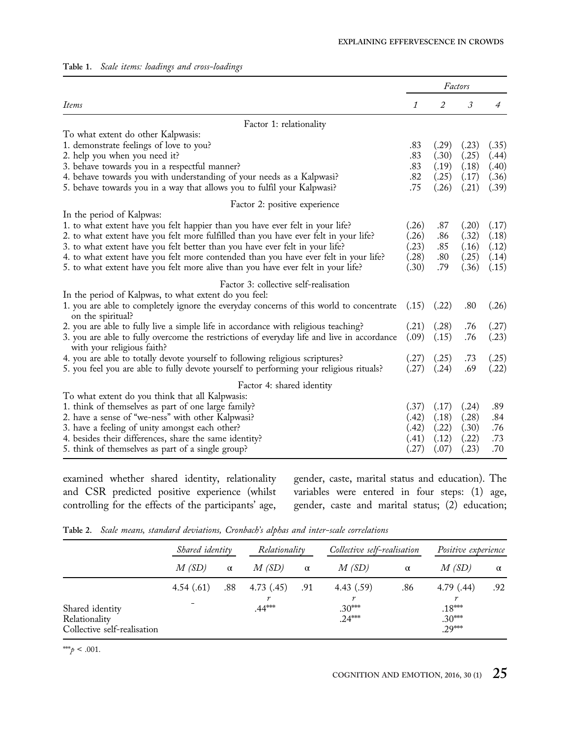|                                                                                                                          | Factors |       |       |                |  |
|--------------------------------------------------------------------------------------------------------------------------|---------|-------|-------|----------------|--|
| Items                                                                                                                    |         | 2     | 3     | $\overline{4}$ |  |
| Factor 1: relationality                                                                                                  |         |       |       |                |  |
| To what extent do other Kalpwasis:                                                                                       |         |       |       |                |  |
| 1. demonstrate feelings of love to you?                                                                                  | .83     | (.29) | (.23) | (.35)          |  |
| 2. help you when you need it?                                                                                            | .83     | (.30) | (.25) | (.44)          |  |
| 3. behave towards you in a respectful manner?                                                                            | .83     | (.19) | (.18) | (.40)          |  |
| 4. behave towards you with understanding of your needs as a Kalpwasi?                                                    | .82     | (.25) | (.17) | (.36)          |  |
| 5. behave towards you in a way that allows you to fulfil your Kalpwasi?                                                  | .75     | (.26) | (.21) | (.39)          |  |
| Factor 2: positive experience                                                                                            |         |       |       |                |  |
| In the period of Kalpwas:                                                                                                |         |       |       |                |  |
| 1. to what extent have you felt happier than you have ever felt in your life?                                            | (.26)   | .87   | (.20) | (.17)          |  |
| 2. to what extent have you felt more fulfilled than you have ever felt in your life?                                     | (.26)   | .86   | (.32) | (.18)          |  |
| 3. to what extent have you felt better than you have ever felt in your life?                                             | (.23)   | .85   | (.16) | (.12)          |  |
| 4. to what extent have you felt more contended than you have ever felt in your life?                                     | (.28)   | .80   | (.25) | (.14)          |  |
| 5. to what extent have you felt more alive than you have ever felt in your life?                                         | (.30)   | .79   | (.36) | (.15)          |  |
| Factor 3: collective self-realisation                                                                                    |         |       |       |                |  |
| In the period of Kalpwas, to what extent do you feel:                                                                    |         |       |       |                |  |
| 1. you are able to completely ignore the everyday concerns of this world to concentrate<br>on the spiritual?             | (.15)   | (.22) | .80   | (.26)          |  |
| 2. you are able to fully live a simple life in accordance with religious teaching?                                       | (.21)   | (.28) | .76   | (.27)          |  |
| 3. you are able to fully overcome the restrictions of everyday life and live in accordance<br>with your religious faith? | (.09)   | (.15) | .76   | (.23)          |  |
| 4. you are able to totally devote yourself to following religious scriptures?                                            | (.27)   | (.25) | .73   | (.25)          |  |
| 5. you feel you are able to fully devote yourself to performing your religious rituals?                                  | (.27)   | (.24) | .69   | (.22)          |  |
| Factor 4: shared identity                                                                                                |         |       |       |                |  |
| To what extent do you think that all Kalpwasis:                                                                          |         |       |       |                |  |
| 1. think of themselves as part of one large family?                                                                      | (.37)   | (.17) | (.24) | .89            |  |

| Table 1. Scale items: loadings and cross-loadings |  |
|---------------------------------------------------|--|
|---------------------------------------------------|--|

examined whether shared identity, relationality and CSR predicted positive experience (whilst controlling for the effects of the participants' age,

5. think of themselves as part of a single group?

gender, caste, marital status and education). The variables were entered in four steps: (1) age, gender, caste and marital status; (2) education;

Table 2. Scale means, standard deviations, Cronbach's alphas and inter-scale correlations

|                                                                 | Shared identity |          | Relationality |          | Collective self-realisation | Positive experience |                                  |          |
|-----------------------------------------------------------------|-----------------|----------|---------------|----------|-----------------------------|---------------------|----------------------------------|----------|
|                                                                 | M(SD)           | $\alpha$ | M(SD)         | $\alpha$ | M(SD)                       | $\alpha$            | M(SD)                            | $\alpha$ |
|                                                                 | 4.54(.61)       | .88      | 4.73(0.45)    | .91      | 4.43(.59)                   | .86                 | 4.79(0.44)                       | .92      |
| Shared identity<br>Relationality<br>Collective self-realisation |                 |          | $.44***$      |          | $.30***$<br>$.24***$        |                     | $.18***$<br>$.30***$<br>$.29***$ |          |

2. have a sense of "we-ness" with other Kalpwasi? (.42) (.18) (.28) .84 3. have a feeling of unity amongst each other? (.42) (.22) (.30) .76 4. besides their differences, share the same identity? (.41) (.12) (.22) .73<br>5. think of themselves as part of a single group? (.27) (.07) (.23) .70

\*\*\* $p > .001$ .

COGNITION AND EMOTION, 2016, 30 (1)  $25$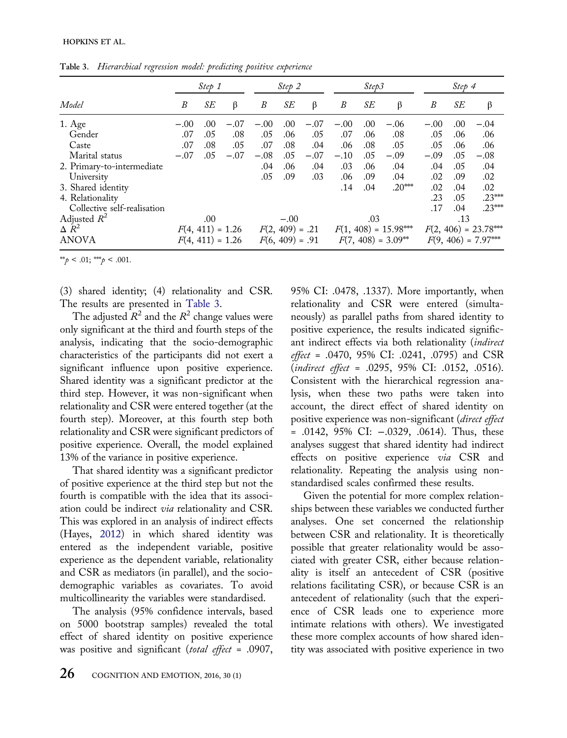|                             | Step 1             |     | Step 2 |                   |     | Step3                  |                         |     | Step 4                 |                       |     |          |
|-----------------------------|--------------------|-----|--------|-------------------|-----|------------------------|-------------------------|-----|------------------------|-----------------------|-----|----------|
| Model                       | B                  | SE  | β      | B                 | SE  | β                      | B                       | SE  | β                      | B                     | SE  | β        |
| 1. Age                      | $-.00$             | .00 | $-.07$ | $-.00$            | .00 | $-.07$                 | $-.00$                  | .00 | $-.06$                 | $-.00$                | .00 | $-.04$   |
| Gender                      | .07                | .05 | .08    | .05               | .06 | .05                    | .07                     | .06 | .08                    | .05                   | .06 | .06      |
| Caste                       | .07                | .08 | .05    | .07               | .08 | .04                    | .06                     | .08 | .05                    | .05                   | .06 | .06      |
| Marital status              | $-.07$             | .05 | $-.07$ | $-.08$            | .05 | $-.07$                 | $-.10$                  | .05 | $-.09$                 | $-.09$                | .05 | $-.08$   |
| 2. Primary-to-intermediate  |                    |     |        | .04               | .06 | .04                    | .03                     | .06 | .04                    | .04                   | .05 | .04      |
| University                  |                    |     |        | .05               | .09 | .03                    | .06                     | .09 | .04                    | .02                   | .09 | .02      |
| 3. Shared identity          |                    |     |        |                   |     |                        | .14                     | .04 | $.20***$               | .02                   | .04 | .02      |
| 4. Relationality            |                    |     |        |                   |     |                        |                         |     |                        | .23                   | .05 | $.23***$ |
| Collective self-realisation |                    |     |        |                   |     |                        |                         |     |                        | .17                   | .04 | $.23***$ |
| Adjusted $R^2$              | .00                |     | $-.00$ |                   | .03 |                        | .13                     |     |                        |                       |     |          |
| $\Delta R^2$                | $F(4, 411) = 1.26$ |     |        | $F(2, 409) = .21$ |     | $F(1, 408) = 15.98***$ |                         |     | $F(2, 406) = 23.78***$ |                       |     |          |
| <b>ANOVA</b>                | $F(4, 411) = 1.26$ |     |        | $F(6, 409) = .91$ |     |                        | $F(7, 408) = 3.09^{**}$ |     |                        | $F(9, 406) = 7.97***$ |     |          |

Table 3. Hierarchical regression model: predicting positive experience

\*\* $p < .01$ ; \*\*\* $p < .001$ .

(3) shared identity; (4) relationality and CSR. The results are presented in Table 3.

The adjusted  $R^2$  and the  $R^2$  change values were only significant at the third and fourth steps of the analysis, indicating that the socio-demographic characteristics of the participants did not exert a significant influence upon positive experience. Shared identity was a significant predictor at the third step. However, it was non-significant when relationality and CSR were entered together (at the fourth step). Moreover, at this fourth step both relationality and CSR were significant predictors of positive experience. Overall, the model explained 13% of the variance in positive experience.

That shared identity was a significant predictor of positive experience at the third step but not the fourth is compatible with the idea that its association could be indirect via relationality and CSR. This was explored in an analysis of indirect effects (Hayes, 2012) in which shared identity was entered as the independent variable, positive experience as the dependent variable, relationality and CSR as mediators (in parallel), and the sociodemographic variables as covariates. To avoid multicollinearity the variables were standardised.

The analysis (95% confidence intervals, based on 5000 bootstrap samples) revealed the total effect of shared identity on positive experience was positive and significant (total effect = .0907, 95% CI: .0478, .1337). More importantly, when relationality and CSR were entered (simultaneously) as parallel paths from shared identity to positive experience, the results indicated significant indirect effects via both relationality (indirect effect = .0470, 95% CI: .0241, .0795) and CSR (indirect effect = .0295, 95% CI: .0152, .0516). Consistent with the hierarchical regression analysis, when these two paths were taken into account, the direct effect of shared identity on positive experience was non-significant (direct effect = .0142, 95% CI: −.0329, .0614). Thus, these analyses suggest that shared identity had indirect effects on positive experience via CSR and relationality. Repeating the analysis using nonstandardised scales confirmed these results.

Given the potential for more complex relationships between these variables we conducted further analyses. One set concerned the relationship between CSR and relationality. It is theoretically possible that greater relationality would be associated with greater CSR, either because relationality is itself an antecedent of CSR (positive relations facilitating CSR), or because CSR is an antecedent of relationality (such that the experience of CSR leads one to experience more intimate relations with others). We investigated these more complex accounts of how shared identity was associated with positive experience in two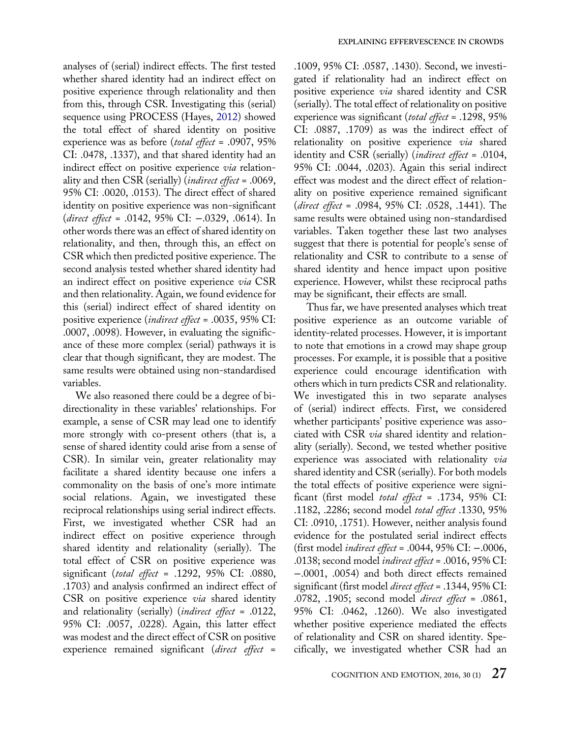analyses of (serial) indirect effects. The first tested whether shared identity had an indirect effect on positive experience through relationality and then from this, through CSR. Investigating this (serial) sequence using PROCESS (Hayes, 2012) showed the total effect of shared identity on positive experience was as before (total effect = .0907, 95% CI: .0478, .1337), and that shared identity had an indirect effect on positive experience via relationality and then CSR (serially) (indirect effect = .0069, 95% CI: .0020, .0153). The direct effect of shared identity on positive experience was non-significant (direct effect = .0142, 95% CI: −.0329, .0614). In other words there was an effect of shared identity on relationality, and then, through this, an effect on CSR which then predicted positive experience. The second analysis tested whether shared identity had an indirect effect on positive experience via CSR and then relationality. Again, we found evidence for this (serial) indirect effect of shared identity on positive experience (indirect effect = .0035, 95% CI: .0007, .0098). However, in evaluating the significance of these more complex (serial) pathways it is clear that though significant, they are modest. The same results were obtained using non-standardised variables.

We also reasoned there could be a degree of bidirectionality in these variables' relationships. For example, a sense of CSR may lead one to identify more strongly with co-present others (that is, a sense of shared identity could arise from a sense of CSR). In similar vein, greater relationality may facilitate a shared identity because one infers a commonality on the basis of one's more intimate social relations. Again, we investigated these reciprocal relationships using serial indirect effects. First, we investigated whether CSR had an indirect effect on positive experience through shared identity and relationality (serially). The total effect of CSR on positive experience was significant (total effect = .1292, 95% CI: .0880, .1703) and analysis confirmed an indirect effect of CSR on positive experience via shared identity and relationality (serially) (indirect effect = .0122, 95% CI: .0057, .0228). Again, this latter effect was modest and the direct effect of CSR on positive experience remained significant (direct effect =

.1009, 95% CI: .0587, .1430). Second, we investigated if relationality had an indirect effect on positive experience via shared identity and CSR (serially). The total effect of relationality on positive experience was significant (total effect = .1298, 95% CI: .0887, .1709) as was the indirect effect of relationality on positive experience via shared identity and CSR (serially) (indirect effect = .0104, 95% CI: .0044, .0203). Again this serial indirect effect was modest and the direct effect of relationality on positive experience remained significant (direct effect = .0984, 95% CI: .0528, .1441). The same results were obtained using non-standardised variables. Taken together these last two analyses suggest that there is potential for people's sense of relationality and CSR to contribute to a sense of shared identity and hence impact upon positive experience. However, whilst these reciprocal paths may be significant, their effects are small.

Thus far, we have presented analyses which treat positive experience as an outcome variable of identity-related processes. However, it is important to note that emotions in a crowd may shape group processes. For example, it is possible that a positive experience could encourage identification with others which in turn predicts CSR and relationality. We investigated this in two separate analyses of (serial) indirect effects. First, we considered whether participants' positive experience was associated with CSR via shared identity and relationality (serially). Second, we tested whether positive experience was associated with relationality via shared identity and CSR (serially). For both models the total effects of positive experience were significant (first model total effect = .1734, 95% CI: .1182, .2286; second model total effect .1330, 95% CI: .0910, .1751). However, neither analysis found evidence for the postulated serial indirect effects (first model indirect effect = .0044, 95% CI: −.0006, .0138; second model indirect effect = .0016, 95% CI: −.0001, .0054) and both direct effects remained significant (first model direct effect = .1344, 95% CI: .0782, .1905; second model direct effect = .0861, 95% CI: .0462, .1260). We also investigated whether positive experience mediated the effects of relationality and CSR on shared identity. Specifically, we investigated whether CSR had an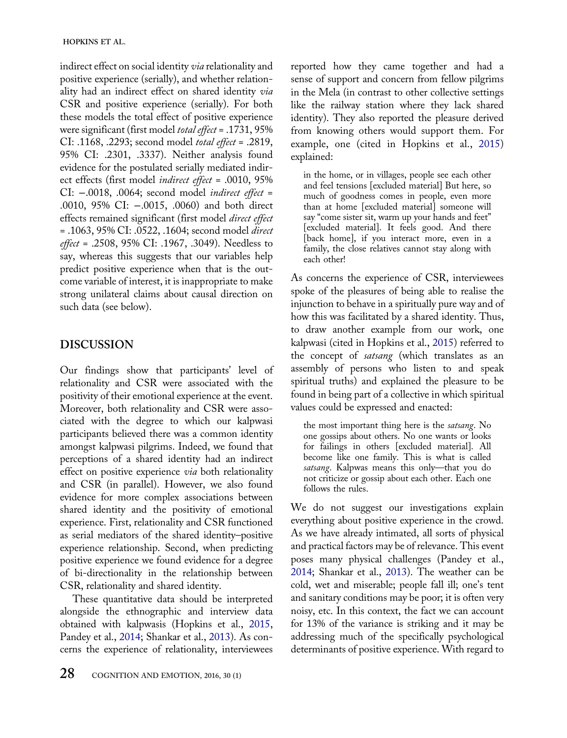indirect effect on social identity *via* relationality and positive experience (serially), and whether relationality had an indirect effect on shared identity via CSR and positive experience (serially). For both these models the total effect of positive experience were significant (first model total effect = .1731, 95% CI: .1168, .2293; second model total effect = .2819, 95% CI: .2301, .3337). Neither analysis found evidence for the postulated serially mediated indirect effects (first model indirect effect = .0010, 95% CI: −.0018, .0064; second model indirect effect = .0010, 95% CI: −.0015, .0060) and both direct effects remained significant (first model direct effect = .1063, 95% CI: .0522, .1604; second model direct effect = .2508, 95% CI: .1967, .3049). Needless to say, whereas this suggests that our variables help predict positive experience when that is the outcome variable of interest, it is inappropriate to make strong unilateral claims about causal direction on such data (see below).

# DISCUSSION

Our findings show that participants' level of relationality and CSR were associated with the positivity of their emotional experience at the event. Moreover, both relationality and CSR were associated with the degree to which our kalpwasi participants believed there was a common identity amongst kalpwasi pilgrims. Indeed, we found that perceptions of a shared identity had an indirect effect on positive experience via both relationality and CSR (in parallel). However, we also found evidence for more complex associations between shared identity and the positivity of emotional experience. First, relationality and CSR functioned as serial mediators of the shared identity–positive experience relationship. Second, when predicting positive experience we found evidence for a degree of bi-directionality in the relationship between CSR, relationality and shared identity.

These quantitative data should be interpreted alongside the ethnographic and interview data obtained with kalpwasis (Hopkins et al., 2015, Pandey et al., 2014; Shankar et al., 2013). As concerns the experience of relationality, interviewees reported how they came together and had a sense of support and concern from fellow pilgrims in the Mela (in contrast to other collective settings like the railway station where they lack shared identity). They also reported the pleasure derived from knowing others would support them. For example, one (cited in Hopkins et al., 2015) explained:

in the home, or in villages, people see each other and feel tensions [excluded material] But here, so much of goodness comes in people, even more than at home [excluded material] someone will say "come sister sit, warm up your hands and feet" [excluded material]. It feels good. And there [back home], if you interact more, even in a family, the close relatives cannot stay along with each other!

As concerns the experience of CSR, interviewees spoke of the pleasures of being able to realise the injunction to behave in a spiritually pure way and of how this was facilitated by a shared identity. Thus, to draw another example from our work, one kalpwasi (cited in Hopkins et al., 2015) referred to the concept of satsang (which translates as an assembly of persons who listen to and speak spiritual truths) and explained the pleasure to be found in being part of a collective in which spiritual values could be expressed and enacted:

the most important thing here is the satsang. No one gossips about others. No one wants or looks for failings in others [excluded material]. All become like one family. This is what is called satsang. Kalpwas means this only—that you do not criticize or gossip about each other. Each one follows the rules.

We do not suggest our investigations explain everything about positive experience in the crowd. As we have already intimated, all sorts of physical and practical factors may be of relevance. This event poses many physical challenges (Pandey et al., 2014; Shankar et al., 2013). The weather can be cold, wet and miserable; people fall ill; one's tent and sanitary conditions may be poor; it is often very noisy, etc. In this context, the fact we can account for 13% of the variance is striking and it may be addressing much of the specifically psychological determinants of positive experience. With regard to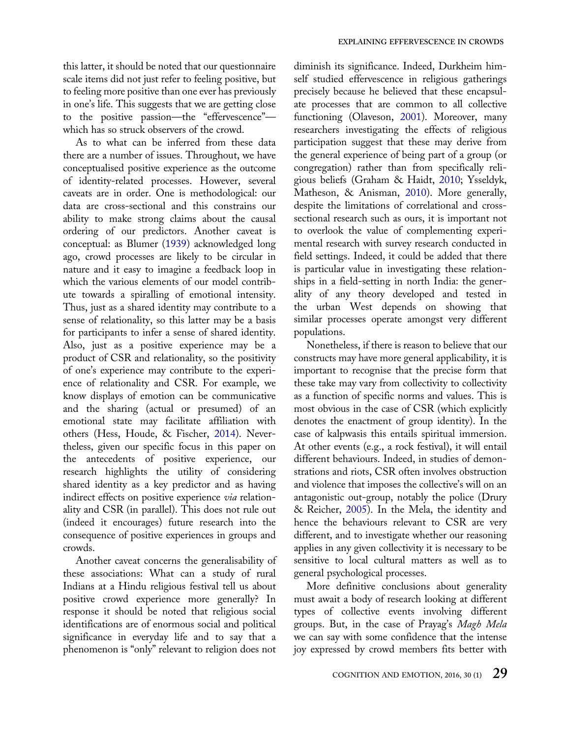this latter, it should be noted that our questionnaire scale items did not just refer to feeling positive, but to feeling more positive than one ever has previously in one's life. This suggests that we are getting close to the positive passion—the "effervescence" which has so struck observers of the crowd.

As to what can be inferred from these data there are a number of issues. Throughout, we have conceptualised positive experience as the outcome of identity-related processes. However, several caveats are in order. One is methodological: our data are cross-sectional and this constrains our ability to make strong claims about the causal ordering of our predictors. Another caveat is conceptual: as Blumer (1939) acknowledged long ago, crowd processes are likely to be circular in nature and it easy to imagine a feedback loop in which the various elements of our model contribute towards a spiralling of emotional intensity. Thus, just as a shared identity may contribute to a sense of relationality, so this latter may be a basis for participants to infer a sense of shared identity. Also, just as a positive experience may be a product of CSR and relationality, so the positivity of one's experience may contribute to the experience of relationality and CSR. For example, we know displays of emotion can be communicative and the sharing (actual or presumed) of an emotional state may facilitate affiliation with others (Hess, Houde, & Fischer, 2014). Nevertheless, given our specific focus in this paper on the antecedents of positive experience, our research highlights the utility of considering shared identity as a key predictor and as having indirect effects on positive experience via relationality and CSR (in parallel). This does not rule out (indeed it encourages) future research into the consequence of positive experiences in groups and crowds.

Another caveat concerns the generalisability of these associations: What can a study of rural Indians at a Hindu religious festival tell us about positive crowd experience more generally? In response it should be noted that religious social identifications are of enormous social and political significance in everyday life and to say that a phenomenon is "only" relevant to religion does not

diminish its significance. Indeed, Durkheim himself studied effervescence in religious gatherings precisely because he believed that these encapsulate processes that are common to all collective functioning (Olaveson, 2001). Moreover, many researchers investigating the effects of religious participation suggest that these may derive from the general experience of being part of a group (or congregation) rather than from specifically religious beliefs (Graham & Haidt, 2010; Ysseldyk, Matheson, & Anisman, 2010). More generally, despite the limitations of correlational and crosssectional research such as ours, it is important not to overlook the value of complementing experimental research with survey research conducted in field settings. Indeed, it could be added that there is particular value in investigating these relationships in a field-setting in north India: the generality of any theory developed and tested in the urban West depends on showing that similar processes operate amongst very different populations.

Nonetheless, if there is reason to believe that our constructs may have more general applicability, it is important to recognise that the precise form that these take may vary from collectivity to collectivity as a function of specific norms and values. This is most obvious in the case of CSR (which explicitly denotes the enactment of group identity). In the case of kalpwasis this entails spiritual immersion. At other events (e.g., a rock festival), it will entail different behaviours. Indeed, in studies of demonstrations and riots, CSR often involves obstruction and violence that imposes the collective's will on an antagonistic out-group, notably the police (Drury & Reicher, 2005). In the Mela, the identity and hence the behaviours relevant to CSR are very different, and to investigate whether our reasoning applies in any given collectivity it is necessary to be sensitive to local cultural matters as well as to general psychological processes.

More definitive conclusions about generality must await a body of research looking at different types of collective events involving different groups. But, in the case of Prayag's Magh Mela we can say with some confidence that the intense joy expressed by crowd members fits better with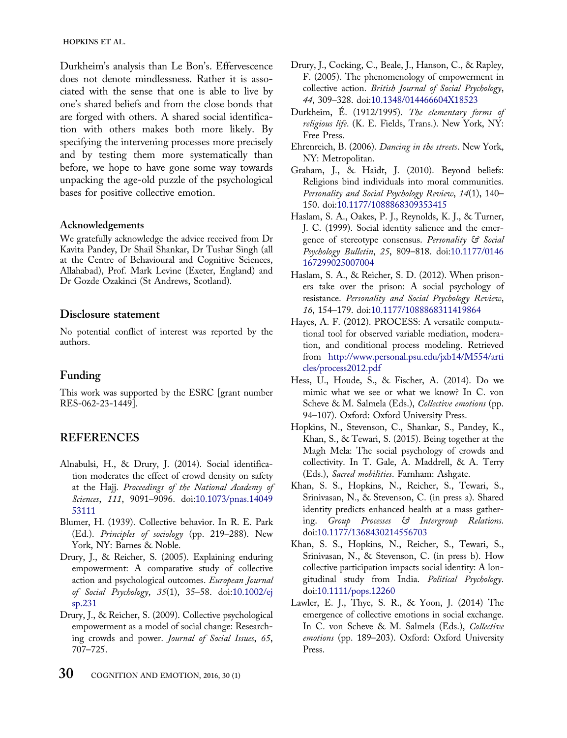Durkheim's analysis than Le Bon's. Effervescence does not denote mindlessness. Rather it is associated with the sense that one is able to live by one's shared beliefs and from the close bonds that are forged with others. A shared social identification with others makes both more likely. By specifying the intervening processes more precisely and by testing them more systematically than before, we hope to have gone some way towards unpacking the age-old puzzle of the psychological bases for positive collective emotion.

#### Acknowledgements

We gratefully acknowledge the advice received from Dr Kavita Pandey, Dr Shail Shankar, Dr Tushar Singh (all at the Centre of Behavioural and Cognitive Sciences, Allahabad), Prof. Mark Levine (Exeter, England) and Dr Gozde Ozakinci (St Andrews, Scotland).

#### Disclosure statement

No potential conflict of interest was reported by the authors.

### Funding

This work was supported by the ESRC [grant number RES-062-23-1449].

# REFERENCES

- Alnabulsi, H., & Drury, J. (2014). Social identification moderates the effect of crowd density on safety at the Hajj. Proceedings of the National Academy of Sciences, 111, 9091–9096. doi:10.1073/pnas.14049 53111
- Blumer, H. (1939). Collective behavior. In R. E. Park (Ed.). Principles of sociology (pp. 219–288). New York, NY: Barnes & Noble.
- Drury, J., & Reicher, S. (2005). Explaining enduring empowerment: A comparative study of collective action and psychological outcomes. European Journal of Social Psychology, 35(1), 35–58. doi:10.1002/ej sp.231
- Drury, J., & Reicher, S. (2009). Collective psychological empowerment as a model of social change: Researching crowds and power. Journal of Social Issues, 65, 707–725.
- Drury, J., Cocking, C., Beale, J., Hanson, C., & Rapley, F. (2005). The phenomenology of empowerment in collective action. British Journal of Social Psychology, 44, 309–328. doi:10.1348/014466604X18523
- Durkheim, É. (1912/1995). The elementary forms of religious life. (K. E. Fields, Trans.). New York, NY: Free Press.
- Ehrenreich, B. (2006). Dancing in the streets. New York, NY: Metropolitan.
- Graham, J., & Haidt, J. (2010). Beyond beliefs: Religions bind individuals into moral communities. Personality and Social Psychology Review, 14(1), 140– 150. doi:10.1177/1088868309353415
- Haslam, S. A., Oakes, P. J., Reynolds, K. J., & Turner, J. C. (1999). Social identity salience and the emergence of stereotype consensus. Personality & Social Psychology Bulletin, 25, 809–818. doi:10.1177/0146 167299025007004
- Haslam, S. A., & Reicher, S. D. (2012). When prisoners take over the prison: A social psychology of resistance. Personality and Social Psychology Review, 16, 154–179. doi:10.1177/1088868311419864
- Hayes, A. F. (2012). PROCESS: A versatile computational tool for observed variable mediation, moderation, and conditional process modeling. Retrieved from http://www.personal.psu.edu/jxb14/M554/arti cles/process2012.pdf
- Hess, U., Houde, S., & Fischer, A. (2014). Do we mimic what we see or what we know? In C. von Scheve & M. Salmela (Eds.), Collective emotions (pp. 94–107). Oxford: Oxford University Press.
- Hopkins, N., Stevenson, C., Shankar, S., Pandey, K., Khan, S., & Tewari, S. (2015). Being together at the Magh Mela: The social psychology of crowds and collectivity. In T. Gale, A. Maddrell, & A. Terry (Eds.), Sacred mobilities. Farnham: Ashgate.
- Khan, S. S., Hopkins, N., Reicher, S., Tewari, S., Srinivasan, N., & Stevenson, C. (in press a). Shared identity predicts enhanced health at a mass gathering. Group Processes & Intergroup Relations. doi:10.1177/1368430214556703
- Khan, S. S., Hopkins, N., Reicher, S., Tewari, S., Srinivasan, N., & Stevenson, C. (in press b). How collective participation impacts social identity: A longitudinal study from India. Political Psychology. doi:10.1111/pops.12260
- Lawler, E. J., Thye, S. R., & Yoon, J. (2014) The emergence of collective emotions in social exchange. In C. von Scheve & M. Salmela (Eds.), Collective emotions (pp. 189–203). Oxford: Oxford University Press.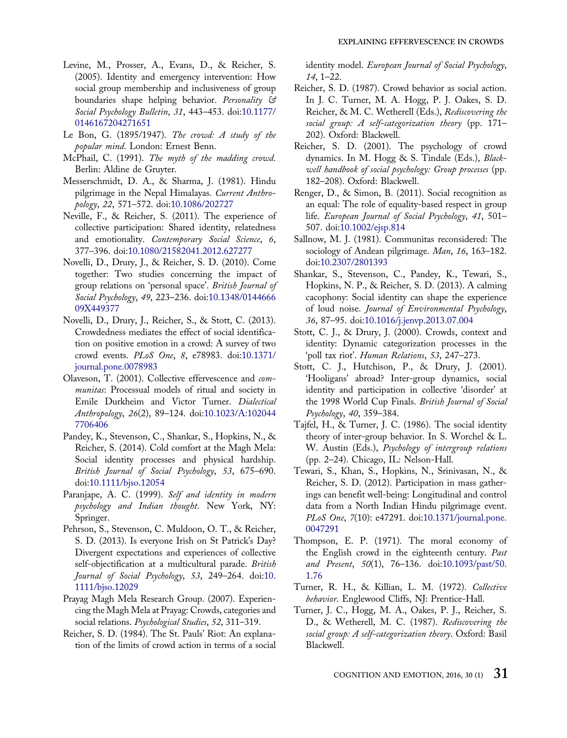- Levine, M., Prosser, A., Evans, D., & Reicher, S. (2005). Identity and emergency intervention: How social group membership and inclusiveness of group boundaries shape helping behavior. Personality & Social Psychology Bulletin, 31, 443–453. doi:10.1177/ 0146167204271651
- Le Bon, G. (1895/1947). The crowd: A study of the popular mind. London: Ernest Benn.
- McPhail, C. (1991). The myth of the madding crowd. Berlin: Aldine de Gruyter.
- Messerschmidt, D. A., & Sharma, J. (1981). Hindu pilgrimage in the Nepal Himalayas. Current Anthropology, 22, 571–572. doi:10.1086/202727
- Neville, F., & Reicher, S. (2011). The experience of collective participation: Shared identity, relatedness and emotionality. Contemporary Social Science, 6, 377–396. doi:10.1080/21582041.2012.627277
- Novelli, D., Drury, J., & Reicher, S. D. (2010). Come together: Two studies concerning the impact of group relations on 'personal space'. British Journal of Social Psychology, 49, 223–236. doi:10.1348/0144666 09X449377
- Novelli, D., Drury, J., Reicher, S., & Stott, C. (2013). Crowdedness mediates the effect of social identification on positive emotion in a crowd: A survey of two crowd events. PLoS One, 8, e78983. doi:10.1371/ journal.pone.0078983
- Olaveson, T. (2001). Collective effervescence and communitas: Processual models of ritual and society in Emile Durkheim and Victor Turner. Dialectical Anthropology, 26(2), 89–124. doi:10.1023/A:102044 7706406
- Pandey, K., Stevenson, C., Shankar, S., Hopkins, N., & Reicher, S. (2014). Cold comfort at the Magh Mela: Social identity processes and physical hardship. British Journal of Social Psychology, 53, 675–690. doi:10.1111/bjso.12054
- Paranjape, A. C. (1999). Self and identity in modern psychology and Indian thought. New York, NY: Springer.
- Pehrson, S., Stevenson, C. Muldoon, O. T., & Reicher, S. D. (2013). Is everyone Irish on St Patrick's Day? Divergent expectations and experiences of collective self-objectification at a multicultural parade. British Journal of Social Psychology, 53, 249–264. doi:10. 1111/bjso.12029
- Prayag Magh Mela Research Group. (2007). Experiencing the Magh Mela at Prayag: Crowds, categories and social relations. Psychological Studies, 52, 311-319.
- Reicher, S. D. (1984). The St. Pauls' Riot: An explanation of the limits of crowd action in terms of a social

identity model. European Journal of Social Psychology, 14, 1–22.

- Reicher, S. D. (1987). Crowd behavior as social action. In J. C. Turner, M. A. Hogg, P. J. Oakes, S. D. Reicher, & M. C. Wetherell (Eds.), Rediscovering the social group: A self-categorization theory (pp. 171– 202). Oxford: Blackwell.
- Reicher, S. D. (2001). The psychology of crowd dynamics. In M. Hogg & S. Tindale (Eds.), Blackwell handbook of social psychology: Group processes (pp. 182–208). Oxford: Blackwell.
- Renger, D., & Simon, B. (2011). Social recognition as an equal: The role of equality-based respect in group life. European Journal of Social Psychology, 41, 501– 507. doi:10.1002/ejsp.814
- Sallnow, M. J. (1981). Communitas reconsidered: The sociology of Andean pilgrimage. Man, 16, 163–182. doi:10.2307/2801393
- Shankar, S., Stevenson, C., Pandey, K., Tewari, S., Hopkins, N. P., & Reicher, S. D. (2013). A calming cacophony: Social identity can shape the experience of loud noise. Journal of Environmental Psychology, 36, 87–95. doi:10.1016/j.jenvp.2013.07.004
- Stott, C. J., & Drury, J. (2000). Crowds, context and identity: Dynamic categorization processes in the 'poll tax riot'. Human Relations, 53, 247–273.
- Stott, C. J., Hutchison, P., & Drury, J. (2001). 'Hooligans' abroad? Inter-group dynamics, social identity and participation in collective 'disorder' at the 1998 World Cup Finals. British Journal of Social Psychology, 40, 359–384.
- Tajfel, H., & Turner, J. C. (1986). The social identity theory of inter-group behavior. In S. Worchel & L. W. Austin (Eds.), Psychology of intergroup relations (pp. 2–24). Chicago, IL: Nelson-Hall.
- Tewari, S., Khan, S., Hopkins, N., Srinivasan, N., & Reicher, S. D. (2012). Participation in mass gatherings can benefit well-being: Longitudinal and control data from a North Indian Hindu pilgrimage event. PLoS One, 7(10): e47291. doi:10.1371/journal.pone. 0047291
- Thompson, E. P. (1971). The moral economy of the English crowd in the eighteenth century. Past and Present, 50(1), 76–136. doi:10.1093/past/50. 1.76
- Turner, R. H., & Killian, L. M. (1972). Collective behavior. Englewood Cliffs, NJ: Prentice-Hall.
- Turner, J. C., Hogg, M. A., Oakes, P. J., Reicher, S. D., & Wetherell, M. C. (1987). Rediscovering the social group: A self-categorization theory. Oxford: Basil Blackwell.

31 COGNITION AND EMOTION, 2016, 30 (1)